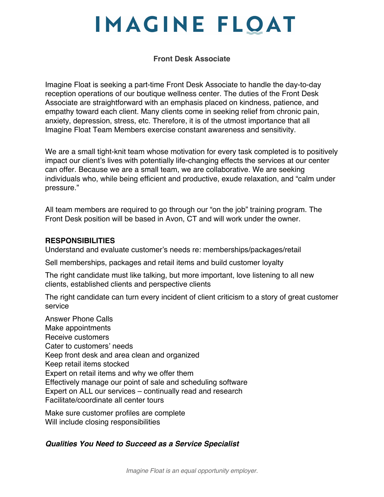# **IMAGINE FLOAT**

#### **Front Desk Associate**

Imagine Float is seeking a part-time Front Desk Associate to handle the day-to-day reception operations of our boutique wellness center. The duties of the Front Desk Associate are straightforward with an emphasis placed on kindness, patience, and empathy toward each client. Many clients come in seeking relief from chronic pain, anxiety, depression, stress, etc. Therefore, it is of the utmost importance that all Imagine Float Team Members exercise constant awareness and sensitivity.

We are a small tight-knit team whose motivation for every task completed is to positively impact our client's lives with potentially life-changing effects the services at our center can offer. Because we are a small team, we are collaborative. We are seeking individuals who, while being efficient and productive, exude relaxation, and "calm under pressure."

All team members are required to go through our "on the job" training program. The Front Desk position will be based in Avon, CT and will work under the owner.

#### **RESPONSIBILITIES**

Understand and evaluate customer's needs re: memberships/packages/retail

Sell memberships, packages and retail items and build customer loyalty

The right candidate must like talking, but more important, love listening to all new clients, established clients and perspective clients

The right candidate can turn every incident of client criticism to a story of great customer service

Answer Phone Calls Make appointments Receive customers Cater to customers' needs Keep front desk and area clean and organized Keep retail items stocked Expert on retail items and why we offer them Effectively manage our point of sale and scheduling software Expert on ALL our services – continually read and research Facilitate/coordinate all center tours

Make sure customer profiles are complete Will include closing responsibilities

### *Qualities You Need to Succeed as a Service Specialist*